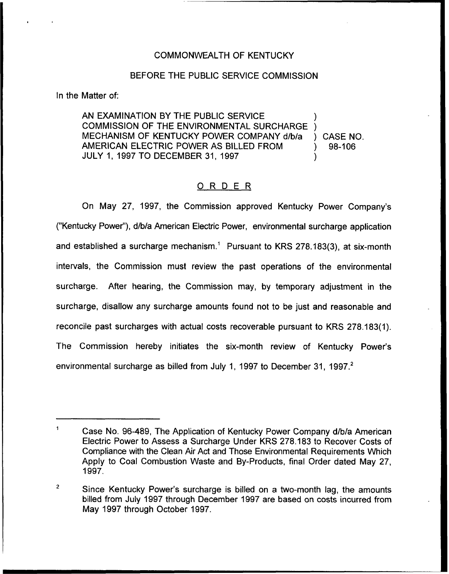### COMMONWEALTH OF KENTUCKY

#### BEFORE THE PUBLIC SERVICE COMMISSION

In the Matter of:

AN EXAMINATION BY THE PUBLIC SERVICE COMMISSION OF THE ENVIRONMENTAL SURCHARGE ) MECHANISM OF KENTUCKY POWER COMPANY d/b/a ) CASE NO.<br>AMERICAN ELECTRIC POWER AS BILLED FROM ) 98-106 AMERICAN ELECTRIC POWER AS BILLED FROM JULY 1, 1997 TO DECEMBER 31, 1997 )

### 0 <sup>R</sup> <sup>D</sup> <sup>E</sup> <sup>R</sup>

On May 27, 1997, the Commission approved Kentucky Power Company's ("Kentucky Power"), d/b/a American Electric Power, environmental surcharge application and established a surcharge mechanism.<sup>1</sup> Pursuant to KRS 278.183(3), at six-month intervals, the Commission must review the past operations of the environmental surcharge. After hearing, the Commission may, by temporary adjustment in the surcharge, disallow any surcharge amounts found not to be just and reasonable and reconcile past surcharges with actual costs recoverable pursuant to KRS 278.183(1). The Commission hereby initiates the six-month review of Kentucky Power's environmental surcharge as billed from July 1, 1997 to December 31, 1997.

 $\mathbf{1}$ Case No. 96-489, The Application of Kentucky Power Company d/b/a American Electric Power to Assess a Surcharge Under KRS 278.183 to Recover Costs of Compliance with the Clean Air Act and Those Environmental Requirements Which Apply to Coal Combustion Waste and By-Products, final Order dated May 27, 1997.

 $\mathbf 2$ Since Kentucky Power's surcharge is billed on a two-month lag, the amounts billed from July 1997 through December 1997 are based on costs incurred from May 1997 through October 1997.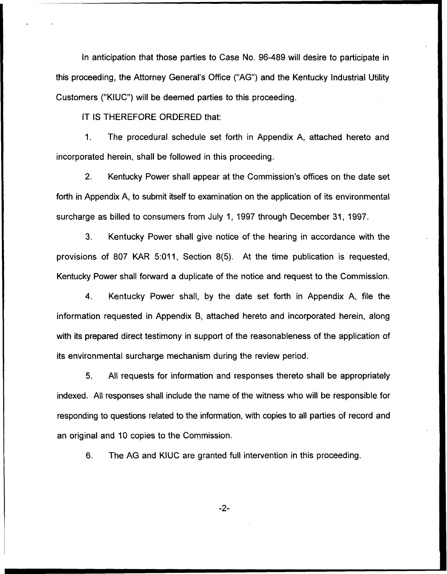In anticipation that those parties to Case No. 96-489 will desire to participate in this proceeding, the Attorney General's Office ("AG") and the Kentucky Industrial Utility Customers ("KIUC") will be deemed parties to this proceeding.

IT IS THEREFORE ORDERED that:

1. The procedural schedule set forth in Appendix A, attached hereto and incorporated herein, shall be followed in this proceeding.

2. Kentucky Power shall appear at the Commission's offices on the date set forth in Appendix A, to submit itself to examination on the application of its environmental surcharge as billed to consumers from July 1, 1997 through December 31, 1997.

3. Kentucky Power shall give notice of the hearing in accordance with the provisions of 807 KAR 5:011, Section 8(5). At the time publication is requested, Kentucky Power shall forward a duplicate of the notice and request to the Commission.

4. Kentucky Power shall, by the date set forth in Appendix A, file the information requested in Appendix B, attached hereto and incorporated herein, along with its prepared direct testimony in support of the reasonableness of the application of its environmental surcharge mechanism during the review period.

5. All requests for information and responses thereto shall be appropriately indexed. All responses shall include the name of the witness who will be responsible for responding to questions related to the information, with copies to all parties of record and an original and 10 copies to the Commission.

6. The AG and KIUC are granted full intervention in this proceeding.

 $-2-$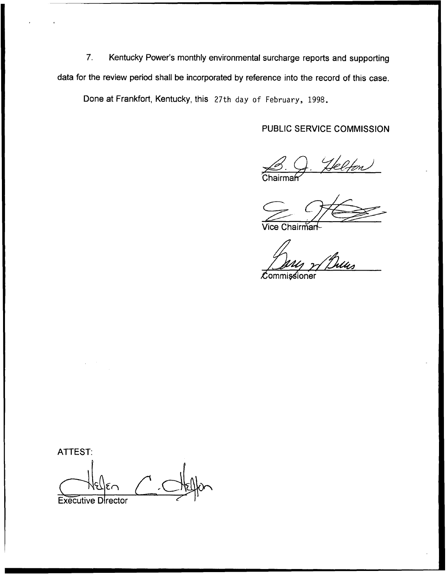7. Kentucky Power's monthly environmental surcharge reports and supporting data for the review period shall be incorporated by reference into the record of this case.

Done at Frankfort, Kentucky, this 27th day of February, 1998.

# PUBLIC SERVICE COMMISSION

**Chairma**  $\beta$ .  $\beta$ . Helfon

Vice Chairmar

 $\mathscr{L}$ 

 ${\cal L}$ ommissioner

ATTEST:

Executive Director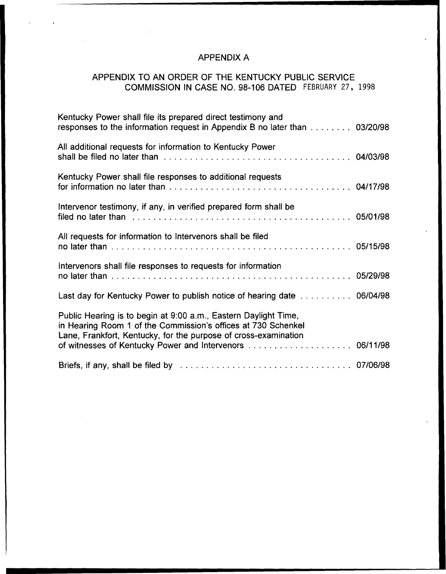# APPENDIX A

# APPENDIX TO AN ORDER OF THE KENTUCKY PUBLIC SERVICE COMMISSION IN CASE NO. 98-106 DATED FEBRUARY 27, 1998

| Kentucky Power shall file its prepared direct testimony and<br>responses to the information request in Appendix B no later than 03/20/98                                                              |  |
|-------------------------------------------------------------------------------------------------------------------------------------------------------------------------------------------------------|--|
| All additional requests for information to Kentucky Power                                                                                                                                             |  |
| Kentucky Power shall file responses to additional requests                                                                                                                                            |  |
| Intervenor testimony, if any, in verified prepared form shall be<br>filed no later than with the contract of the contract of the contract of the contract of the contract of the contract of 05/01/98 |  |
| All requests for information to Intervenors shall be filed                                                                                                                                            |  |
| Intervenors shall file responses to requests for information                                                                                                                                          |  |
| Last day for Kentucky Power to publish notice of hearing date 06/04/98                                                                                                                                |  |
| Public Hearing is to begin at 9:00 a.m., Eastern Daylight Time,<br>in Hearing Room 1 of the Commission's offices at 730 Schenkel<br>Lane, Frankfort, Kentucky, for the purpose of cross-examination   |  |
|                                                                                                                                                                                                       |  |
|                                                                                                                                                                                                       |  |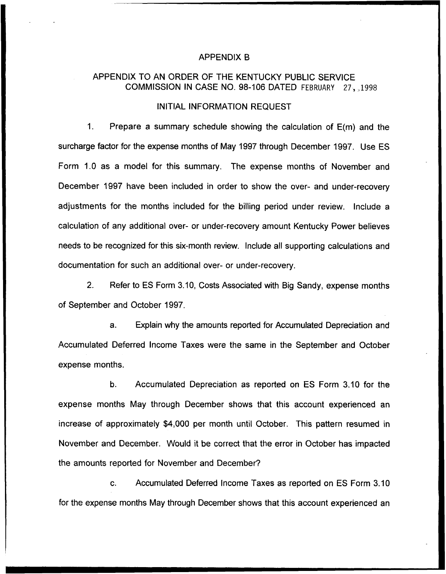#### APPENDIX B

## APPENDIX TO AN ORDER OF THE KENTUCKY PUBLIC SERVICE COMMISSION IN CASE NO. 98-106 DATED FEBRUARY 27,,1998

#### INITIAL INFORMATION REQUEST

 $1<sub>1</sub>$ Prepare a summary schedule showing the calculation of E(m) and the surcharge factor for the expense months of May 1997 through December 1997. Use ES Form 1.0 as a model for this summary. The expense months of November and December 1997 have been included in order to show the over- and under-recovery adjustments for the months included for the billing period under review. Include a calculation of any additional over- or under-recovery amount Kentucky Power believes needs to be recognized for this six-month review. Include all supporting calculations and documentation for such an additional over- or under-recovery.

2. Refer to ES Form 3.10, Costs Associated with Big Sandy, expense months of September and October 1997.

Explain why the amounts reported for Accumulated Depreciation and  $a<sub>r</sub>$ Accumulated Deferred Income Taxes were the same in the September and October expense months.

b. Accumulated Depreciation as reported on ES Form 3.10 for the expense months May through December shows that this account experienced an increase of approximately \$4,000 per month until October. This pattern resumed in November and December. Would it be correct that the error in October has impacted the amounts reported for November and December?

c. Accumulated Deferred Income Taxes as reported on ES Form 3.10 for the expense months May through December shows that this account experienced an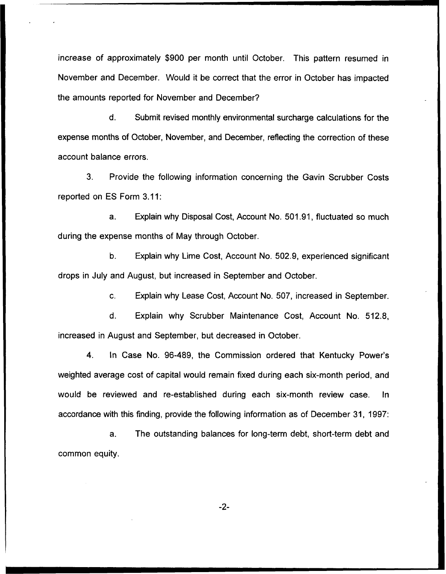increase of approximately \$900 per month until October. This pattern resumed in November and December. Would it be correct that the error in October has impacted the amounts reported for November and December?

 $\mathsf{d}$ . Submit revised monthly environmental surcharge calculations for the expense months of October, November, and December, reflecting the correction of these account balance errors.

3. Provide the following information concerning the Gavin Scrubber Costs reported on ES Form 3.11:

a. Explain why Disposal Cost, Account No. 501.91, fluctuated so much during the expense months of May through October.

b. Explain why Lime Cost, Account No. 502.9, experienced significant drops in July and August, but increased in September and October.

c. Explain why Lease Cost, Account No. 507, increased in September.

d. Explain why Scrubber Maintenance Cost, Account No. 512.8, increased in August and September, but decreased in October.

4. In Case No. 96-489, the Commission ordered that Kentucky Power's weighted average cost of capital would remain fixed during each six-month period, and would be reviewed and re-established during each six-month review case. In accordance with this finding, provide the following information as of December 31, 1997:

a. The outstanding balances for long-term debt, short-term debt and common equity.

 $-2-$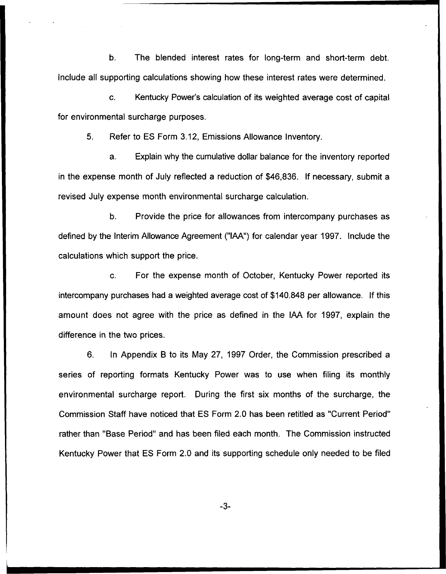b. The blended interest rates for long-term and short-term debt. Include all supporting calculations showing how these interest rates were determined.

c. Kentucky Power's calculation of its weighted average cost of capital for environmental surcharge purposes.

5. Refer to ES Form 3.12, Emissions Allowance Inventory.

a. Explain why the cumulative dollar balance for the inventory reported in the expense month of July reflected a reduction of \$46,836. If necessary, submit a revised July expense month environmental surcharge calculation.

b. Provide the price for allowances from intercompany purchases as defined by the Interim Allowance Agreement ("IAA") for calendar year 1997. Include the calculations which support the price.

 $\mathbf{C}$ . For the expense month of October, Kentucky Power reported its intercompany purchases had a weighted average cost of \$140.848 per allowance. If this amount does not agree with the price as defined in the IAA for 1997, explain the difference in the two prices.

6. In Appendix B to its May 27, 1997 Order, the Commission prescribed a series of reporting formats Kentucky Power was to use when filing its monthly environmental surcharge report. During the first six months of the surcharge, the Commission Staff have noticed that ES Form 2.0 has been retitled as "Current Period" rather than "Base Period" and has been filed each month. The Commission instructed Kentucky Power that ES Form 2.0 and its supporting schedule only needed to be filed

 $-3-$